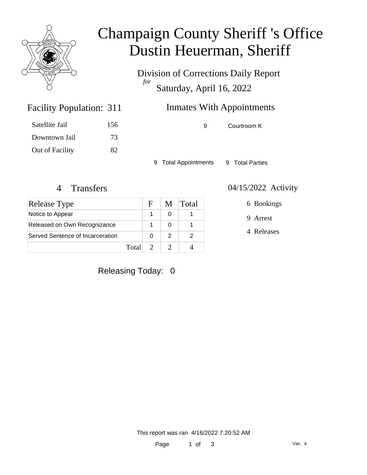

### Champaign County Sheriff 's Office Dustin Heuerman, Sheriff

Division of Corrections Daily Report *for* Saturday, April 16, 2022

### Inmates With Appointments

| Satellite Jail  | 156 |
|-----------------|-----|
| Downtown Jail   | 73  |
| Out of Facility | 82  |

Facility Population: 311

9 Courtroom K

9 Total Appointments 9 Total Parties

| Release Type                     |       | $\mathbf{F}$ | M. | <b>Total</b> |
|----------------------------------|-------|--------------|----|--------------|
| Notice to Appear                 |       |              |    |              |
| Released on Own Recognizance     |       |              |    |              |
| Served Sentence of Incarceration |       |              |    |              |
|                                  | Total |              |    |              |

#### 4 Transfers 04/15/2022 Activity

6 Bookings

9 Arrest

4 Releases

### Releasing Today: 0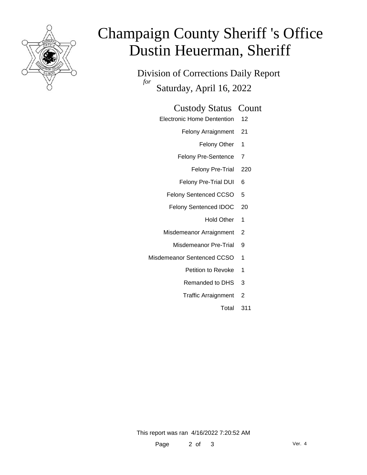

# Champaign County Sheriff 's Office Dustin Heuerman, Sheriff

Division of Corrections Daily Report *for* Saturday, April 16, 2022

#### Custody Status Count

- Electronic Home Dentention 12
	- Felony Arraignment 21
		- Felony Other 1
	- Felony Pre-Sentence 7
		- Felony Pre-Trial 220
	- Felony Pre-Trial DUI 6
	- Felony Sentenced CCSO 5
	- Felony Sentenced IDOC 20
		- Hold Other 1
	- Misdemeanor Arraignment 2
		- Misdemeanor Pre-Trial 9
- Misdemeanor Sentenced CCSO 1
	- Petition to Revoke 1
	- Remanded to DHS 3
	- Traffic Arraignment 2
		- Total 311

This report was ran 4/16/2022 7:20:52 AM